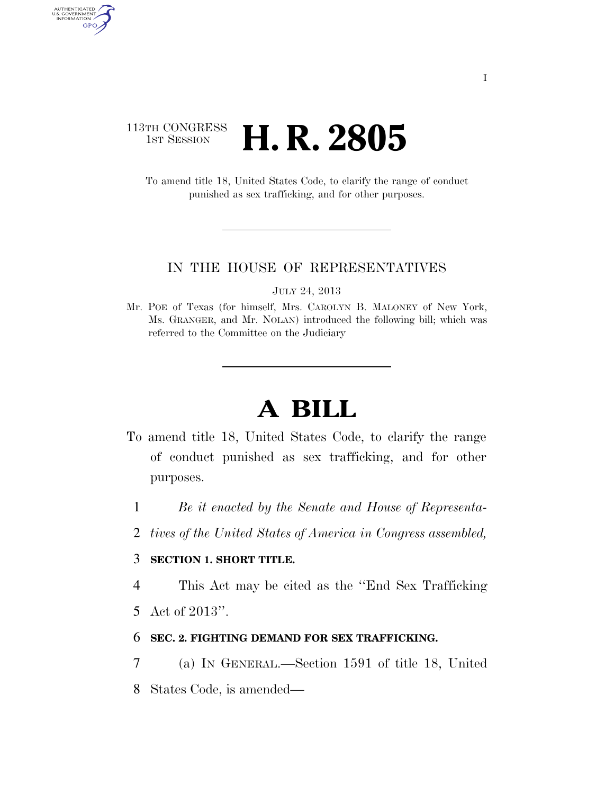# 113TH CONGRESS **1st Session H. R. 2805**

AUTHENTICATED<br>U.S. GOVERNMENT<br>INFORMATION GPO

> To amend title 18, United States Code, to clarify the range of conduct punished as sex trafficking, and for other purposes.

### IN THE HOUSE OF REPRESENTATIVES

JULY 24, 2013

Mr. POE of Texas (for himself, Mrs. CAROLYN B. MALONEY of New York, Ms. GRANGER, and Mr. NOLAN) introduced the following bill; which was referred to the Committee on the Judiciary

# **A BILL**

- To amend title 18, United States Code, to clarify the range of conduct punished as sex trafficking, and for other purposes.
	- 1 *Be it enacted by the Senate and House of Representa-*
	- 2 *tives of the United States of America in Congress assembled,*

## 3 **SECTION 1. SHORT TITLE.**

4 This Act may be cited as the ''End Sex Trafficking

5 Act of 2013''.

#### 6 **SEC. 2. FIGHTING DEMAND FOR SEX TRAFFICKING.**

7 (a) IN GENERAL.—Section 1591 of title 18, United

8 States Code, is amended—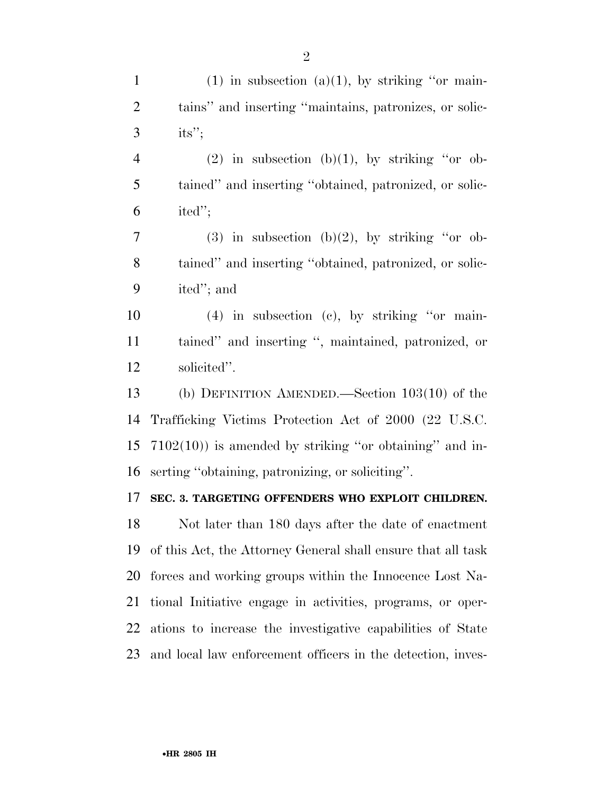| $\mathbf{1}$   | $(1)$ in subsection $(a)(1)$ , by striking "or main-         |
|----------------|--------------------------------------------------------------|
| $\overline{2}$ | tains" and inserting "maintains, patronizes, or solic-       |
| 3              | its";                                                        |
| $\overline{4}$ | $(2)$ in subsection $(b)(1)$ , by striking "or ob-           |
| 5              | tained" and inserting "obtained, patronized, or solic-       |
| 6              | ited";                                                       |
| 7              | $(3)$ in subsection $(b)(2)$ , by striking "or ob-           |
| 8              | tained" and inserting "obtained, patronized, or solic-       |
| 9              | ited"; and                                                   |
| 10             | $(4)$ in subsection $(e)$ , by striking "or main-            |
| 11             | tained" and inserting ", maintained, patronized, or          |
| 12             | solicited".                                                  |
| 13             | (b) DEFINITION AMENDED.—Section $103(10)$ of the             |
| 14             | Trafficking Victims Protection Act of 2000 (22 U.S.C.        |
| 15             | $7102(10)$ ) is amended by striking "or obtaining" and in-   |
| 16             | serting "obtaining, patronizing, or soliciting".             |
| 17             | SEC. 3. TARGETING OFFENDERS WHO EXPLOIT CHILDREN.            |
| 18             | Not later than 180 days after the date of enactment          |
| 19             | of this Act, the Attorney General shall ensure that all task |
| 20             | forces and working groups within the Innocence Lost Na-      |
| 21             | tional Initiative engage in activities, programs, or oper-   |
| 22             | ations to increase the investigative capabilities of State   |
| 23             | and local law enforcement officers in the detection, inves-  |